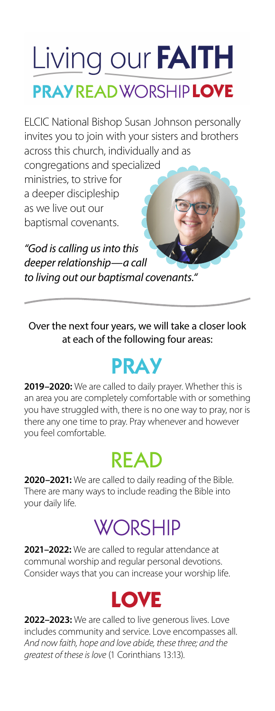## Living our FAITH PRAY READ WORSHIP LOVE

ELCIC National Bishop Susan Johnson personally invites you to join with your sisters and brothers across this church, individually and as

congregations and specialized ministries, to strive for a deeper discipleship as we live out our baptismal covenants.

*"God is calling us into this deeper relationship—a call to living out our baptismal covenants."*

Over the next four years, we will take a closer look at each of the following four areas:

### PRAY

**2019–2020:** We are called to daily prayer. Whether this is an area you are completely comfortable with or something you have struggled with, there is no one way to pray, nor is there any one time to pray. Pray whenever and however you feel comfortable.

#### READ

**2020–2021:** We are called to daily reading of the Bible. There are many ways to include reading the Bible into your daily life.

### **WORSHIP**

**2021–2022:** We are called to regular attendance at communal worship and regular personal devotions. Consider ways that you can increase your worship life.



**2022–2023:** We are called to live generous lives. Love includes community and service. Love encompasses all. *And now faith, hope and love abide, these three; and the greatest of these is love* (1 Corinthians 13:13).